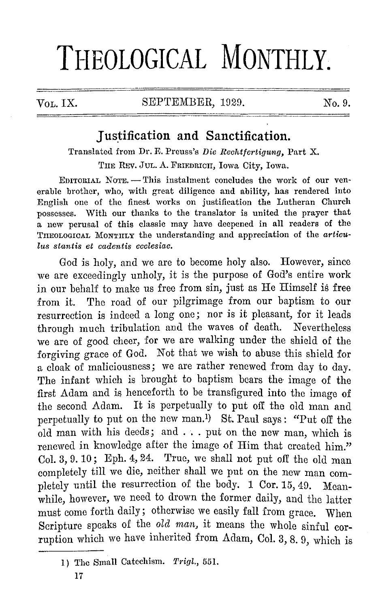# **THEOLOGICAL MONTHLY.**

# $V_{\text{OL}}$  IX. SEPTEMBER, 1929. No. 9.

# **Justification and Sanctification.**

Translated from Dr. E. Preuss's *Die Rechtfertigung*, Part X. THE REV. JUL. A. FRIEDRICH, Iowa City, Iowa.

EDITORIAL NOTE. - This instalment concludes the work of our venerable brother, who, with great diligence and ability, has rendered into English one of the finest works on justification the Lutheran Church possesses. With our thanks to the translator is united the prayer that a new perusal of this classic may have deepened in all readers of the THEOLOGICAL MONTHLY the understanding and appreciation of the *articulus stantis et cadentis ecclesiae.* 

God is holy, and we are to become holy also. However, since we are exceedingly unholy, it is the purpose of God's entire work in our behalf to make us free from sin, just as He Himself is free from it. The road of our pilgrimage from our baptism to our resurrection is indeed a long one; nor is it pleasant, for it leads through much tribulation and the waves of death. Nevertheless we are of good cheer, for we are walking under the shield of the forgiving grace of God. Not that we wish to abuse this shield for a cloak of maliciousness; we are rather renewed from day to day. The infant which is brought to baptism bears the image of the first Adam and is henceforth to be transfigured into the image of the second Adam. It is perpetually to put off the old man and perpetually to put on the new man.<sup>1</sup>) St. Paul says: "Put off the  $old$  man with his deeds; and  $\ldots$  put on the new man, which is renewed in knowledge after the image of Him that created him." Col. 3, 9. 10; Eph. 4, 24. True, we shall not put off the old man completely till we die, neither shall we put on the new man completely until the resurrection of the body. 1 Cor. 15, 49. Meanwhile, however, we need to drown the former daily, and the latter must come forth daily; otherwise we easily fall from grace. When Scripture speaks of the *old man*, it means the whole sinful corruption which we have inherited from Adam, Col. 3, 8, 9, which is

<sup>1)</sup> The Small Catechism. *Trigl.,* 551.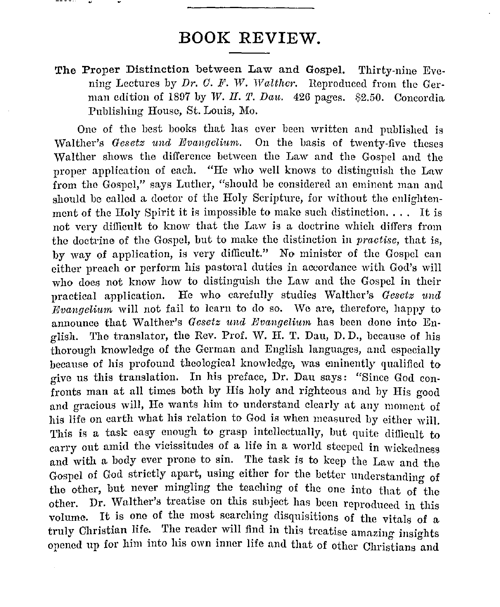# **BOOK REVIEW.**

**The** Proper Distinction between Law and Gospel. Thirty-nine Evening Lectures by *Dr. C. F. W. Walther.* Reproduced from the German edition of 1897 by *W. H. T. Dau.* 426 pages. \$2.50. Concordia Publishing House, St. Louis, Mo.

One of the best books that has ever been written and published is vValther's *Gesetz und Evangeliwm.* On the basis of twenty-five theses vValther shows the difference between the Law and the Gospel and the proper application of each. "He who well knows to distinguish the Law from the Gospel," says Luther, "should be considered an eminent man and should be called a doctor of the Holy Scripture, for without the enlightenment of the Holy Spirit it is impossible to make such distinction.... It is not very dillicnlt to know that the Law is a doctrine which differs from the doctrine of the Gospel, but to make the distinction in *practise,* that is, by way of application, is very difficult." No minister of the Gospel can either preach or perform his pastoral duties in accordance with God's will who does not know how to distinguish the Law and the Gospel in their practical application. He who carefully studies Walther's *Gesetz* imd *Evangelium* will not fail to learn to do so. We are, therefore, happy to announce that Walther's *Gesetz und Evangelium* has been done into English. 'l'he translator, the Rev. Prof. W. II. T. Dau, D. D., because of his thorough knowledge of the German and English languages, and especially because of his profound theological knowledge, was eminently qualified to givo us this translation. In his preface, Dr. Dau says: "Since God confronts man at all times both by His holy and righteous and by His good and gracious will, He wants him to understand clearly at any moment of his life on earth what his relation to God is when measured by either will. This is a task easy enough to grasp intellectually, but quite difficult to carry out amid the vicissitudes of a life in a world steeped in wickedness and with a body ever prone to sin. The task is to keep the Law and the Gospel of God strictly apart, using either for the better understanding of the other, but never mingling the teaching of the one into that of the other. Dr. Walther's treatise on this subject has been reproduced in this volume. It is one of the most searching disquisitions of the vitals of a truly Christian life. The reader will find in this treatise amazing insights opened up for him into his own inner life and that of other Christians and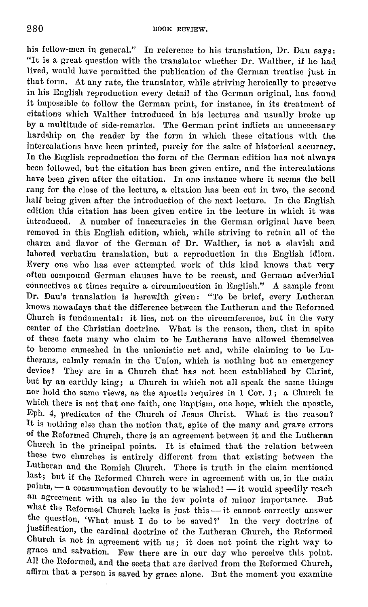his fellow-men in general." In reference to his translation, Dr. Dau says: "It is a great question with the translator whether Dr. Walther, if he had lived, would have permitted the publication of the German treatise just in that form. At any rate, the translator, while striving heroically to preserve in his English reproduction every detail of the German original, has found it impossible to follow the German print, for instance, in its treatment of citations which Walther introduced in his lectures and usually hroke up by a multitude of side-remarks. 'fhe German print inflicts an unnecessary hardship on the reader by the form in which these citations with the intercalations have been printed, purely for the sake of historical accuracy. In the English reproduction the form of the German edition has not always been followed, but the citation has been given entire, and the intercalations have been given after the citation. In one instance where it seems the bell rang for the close of the lecture, a citation has been cut in two, the second half being given after the introduction of the next lecture. In the English edition this citation has been given entire in the lecture in which it was introduced. A number of inaccuracies in the German original have been removed in this English edition, which, while striving to retain all of the charm and flavor of the German of Dr. Walther, is not a slavish and labored verbatim translation, but a reproduction in the English idiom. Every one who has ever attempted work of this kind knows that very often compound German clauses have to be recast, and German adverbial connectives at times require a circumlocution in English." A sample from Dr. Dan's translation is herewjth given: "To be brief, every Lutheran knows nowadays that the difference between the Lutheran and the Reformed Church is fundamental: it lies, not on the circumference, but in the very center of the Christian doctrine. What is the reason, then, that in spite of these facts many who claim to he Lutherans have allowed themselves to become enmeshed in the unionistie net and, while claiming to be Lutherans, calmly remain in the Union, which is nothing but an emergency device? They are in a Church that has not been established by Christ, but by an earthly king; a Church in which not all speak the same things nor hold the same views, as the apostle requires in I Cor. 1; a Church in which there is not that one faith, one Baptism, one hope, which the apostle, Eph. 4, predicates of the Church of Jesus Christ. What is the reason? It is nothing else than the notion that, spite of the many and grave errors of the Reformed Church, there is an agreement between it and the Lutheran Church in the principal points. It is claimed that the relation between these two churches is entirely different from that existing between the Lutheran and the Romish Church. There is truth in the claim mentioned last; but if the Reformed Church were in agreement with us. in the main  $points, -a$  consummation devoutly to be wished! -- it would speedily reach an agreement with us also in the few points of minor importance. But what the Reformed Church lacks is just this - it cannot correctly answer the question, 'What must I do to be saved?' In the very doctrine of justification, the cardinal doctrine of the Lutheran Church, the Reformed Church is not in agreement with us; it does not point the right way to grace and salvation. Few there are in our day who perceive this point. All the Reformed, and the sects that are derived from the Reformed Church, affirm that a person is saved by grace alone. But the moment you examine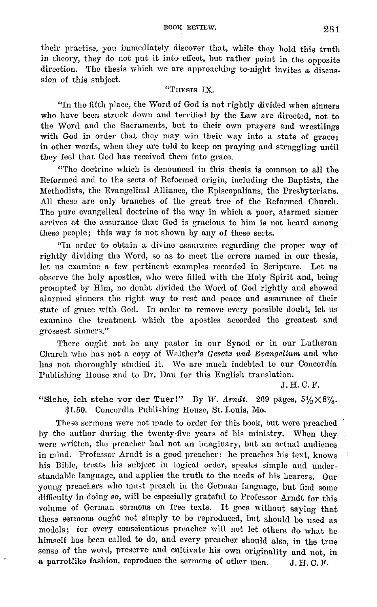their practise, you immediately discover that, whilo they hold this truth in theory, they do not put it into effect, but rather point in the opposite direction. The thesis which we are approaching to-night invites a discussion of this subject.

#### "THESIS IX.

"In tho fifth place, the Word of God is not rightly divided when sinners who have been struck down and terrified by the Law are directed, not to the Word and the Sacraments, but to their own prayers and wrestlings with God in order that they may win their way into a state of grace; in other words, when they are told to keep on praying and struggling until they feel that God has received them into grace.

"The doctrine which is denounced in this thesis is common to all the Reformed and to the sects of Reformed origin, including the Baptists, the Methodists, the Evangelical Alliance, the Episcopalians, the Presbyterians. All these are only branches of tho great tree of the Reformed Church. The pure evangelical doctrine of the way in which a poor, alarmed sinner arrives at the assurance that God is gracious to him is not heard among these people; this way is not shown by any of these sects.

"In order to obtain a divine assurance regarding the proper way of rightly dividing the Word, so as to meet the errors named in our thesis, let us examine a few pertinent examples recorded in Scripture. Let us observe the holy apostles, who were filled with the Holy Spirit and, being prompted by Him, no doubt divided tho Word of God rightly and showed alarmed sinners the right way to rest and peace and assurance of their state of grace with God. In order to remove every possible doubt, let us examine the treatment which the apostles accorded the greatest and grossest sinners."

There ought not be any pastor in our Synod or in our Lutheran Church who has not a copy of Walther's *Gesetz und Evangelium* and who has not thoroughly studied it. We are much indebted to our Concordia Publishing House and to Dr. Dau for this English translation.

J. H. C. F.

"Siehe, ich stehe vor der Tuer!" By *W. Arndt.* 269 pages,  $5\frac{1}{2} \times 8\%$ . \$1.50. Concordia Publishing House, St. Louis, Mo.

These sermons were not made to order for this book, but were preached by the author during the twenty-five years of his ministry. When they were written, the preacher had not an imaginary, but an actual audience in mind. Professor Arndt is a good preacher: he preaches his text, knows his Bihlo, treats his subject in logical ordor, speaks simple and understandable language, and applies the truth to the needs of his hearers. Our young preachers who must preach in the German language, but find some difficulty in doing so, will be especially grateful to Professor Arndt for this volume of German sermons on free texts. It goes without saying that these sermons ought not simply to be reproduced, but should be used as models; for every conscientious preacher will not let others do what he himself has been called to do, and every preacher should also, in the true sense of the word, preserve and cultivate his own originality and not, in a parrotlike fashion, reproduce the sermons of other men.  $J.H.C.F.$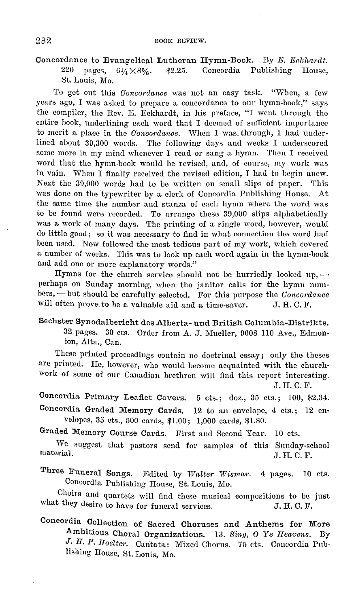## Concordance to Evangelical Lutheran Hymn-Book. By *E. Eckhardt.* 220 pages,  $6\frac{1}{4} \times 8\frac{5}{4}$ . \$2.25. Concordia Publishing House, \$2.25. Concordia Publishing House, St. Louis, Mo.

To get out this *Concordance* was not an easy task. "When, a few years ago, I was asked to prepare a concordance to our hymn-hook," says the compiler, the Rev. E. Eckhardt, in his preface, "I went through the cntiro book, underlining each word that I deemed of sufficient importance to merit a place in the *Concordance*. When I was through, I had underlined about 39,300 words. The following days and weeks I underscored some more in my mind whenever I read or sang a hymn. Then I received word that the hymn-book would be revised, and, of course, my work was in vain. When I finally received the revised edition, I had to begin anew. Next the 30,000 words had to be written on small slips of paper. This was done on the 'typewriter by a clerk of Concordia Publishing House. At the same time the number and stanza of each hymn where the word was to be found were recorded. To arrange these 30,000 slips alphabetically was a work of many days. The printing of a single word, however, would do little good; so it was necessary to find in what connection the word had been used. Now followed the most tedious part of my work, which covered a number of weeks. This was to look up each word again in the hymn-book and add one or more explanatory words."

Hymns for the church service should not be hurriedly looked up,  $$ perhaps on Sunday morning, when the janitor calls for the hymn numbers, - but should be carefully selected. For this purpose the *Concordance* will often prove to be a valuable aid and a time-saver. J. H. C. F. will often prove to be a valuable aid and a time-saver.

### Sechster Synodalbericht des Alberta- und British Columbia-Distrikts. 32 pages. 30 cts. Order from A. J. Mueller, DGOS llO Ave., Edmonton, Alta., Can.

These printed proceedings contain no doctrinal essay; only the theses arc printed. He, however, who would become acquainted with the churchwork of some of our Canadian brethren will fiml this report interesting. ,T. H. C. F.

Concordia Primary Leaflet Covers. 5 cts.; doz., 35 cts.; 100, \$2.34.

Concordia Graded Memory Cards. 12 to an envelope, 4 cts.; 12 envelopes, 35 cts., 500 cards, \$1.00; 1,000 cards, \$1.80.

Graded Memory Course Cards. First and Second Year. 10 cts.

vVe suggest that pastors send for samples of this Sunday-school material.  $J. H. C. F.$ 

Three Funeral Songs. Edited by *Walter Wisrnar.* 4 pages. 10 cts. Concordia Publishing House, St. Louis, Mo.

Choirs and quartets will find these musical compositions to be just what they desire to have for funeral services. J. H. C. F.

Concordia Collection of Sacred Choruses and Anthems for More Ambitious Choral Organizations. 13. *Sing, 0 Ye Jieavens.* By J. H. F. Hoelter. Cantata: Mixed Chorus. 75 cts. Concordia Publishing House, St. Louis, Mo.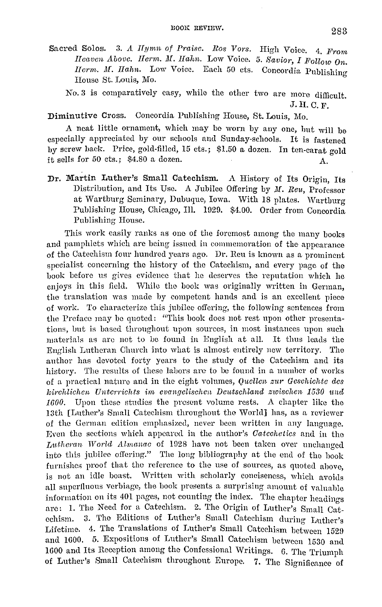Sacred Solos. 3. A *Ilymn of Praise. Ros Vors.* High Voice. 4. *From Heaven Abovc. Herm. M. Hahn. Low Voice. 5. Savior, I Follow On. IIerm. M. Hahn.* Low Voice. Each 50 cts. Concordia Publishing House St. Louis, Mo.

No. 3 is comparatively easy, while the other two are more difficult. J. II. C. F.

## Diminutive Cross. Concordia Publishing House, St. Louis, Mo.

A neat little ornament, which may be worn by any one, but will be especially appreciated by our schools and Sunday-schools. It is fastened by screw back. Price, gold-filled, 15 cts.; \$1.50 a dozen. In ten-carat gold it sells for  $50 \text{ cts.};$  \$4.80 a dozen. A.

Dr, Martin Luther's Small Catechism. A History of Its Origin, Its Distribution, and Its Use. A Jubilee Offering by *M. Reu*, Professor at Wartburg Seminary, Dubuque, Iowa. With 18 plates. Wartburg Publishing House, Chicago, Ill. 1929. \$4.00. Order from Concordia Publishing House.

This work easily ranks as one of the foremost among the many books and pamphlets which are being issued in commemoration of the appearance of the Catechism four hundred years ago. Dr. Ren is known as a prominent specialist concerning the history of the Catechism, and every page of the book before us gives evidence that he deserves the reputation which he enjoys in this field. While the book was originally written in German, the translation was made hy competent hands and is an excellent piece of work. To characterize this jubilee offering, the following sentences from the Preface may he quoted: "This book docs not rest upon other presentations, but is based throughout upon sources, in most instances upon such materials as are not to he found in English at all. It thus leads the English Lutheran Church into what is almost entirely new territory. The author has devoted forty years *to* the study of the Catechism and its history. The results of these labors are to be found in a number of works of a practical nature and in the eight volumes, *Qucllen z111· Gcsohiohte des kirchlichen Un-torrichts im evangelisohen Deutsohland zwisohen 1530 irnd 1600.* Upon these studies the present volume rests. A chapter like tho 13th [Luther's Small Catechism throughout the World] has, as a reviewer of the German edition emphasized, never been written in any language. Even the sections which appeared in the author's *Oateohetics* and in tho *Lutheran World Almanac* of 1928 have not been taken over unchanged into this jubilee offering." The long bibliography at the end of the book furnishes proof that the reference to the use of sources, as quoted above. is not an idle boast. Written with scholarly conciseness, which avoids all superfluous verbiage, the book presents a surprising amount of valuable information on its 401 pages, not counting the index. The chapter headings are: 1. The Need for a Catechism. 2. The Origin of Luther's Small Catechism. 3. The Editions of Luther's Small Catechism during Luther's Lifetime. 4. The Translations of Luther's Small Catechism between 1529 and 1600. 5. Expositions of Luther's Small Catechism between 1530 and 1600 and Its Reception among the Confessional Writings. 6. The Triumph of Luther's Small Catechism throughout Europe. 7. The Significance of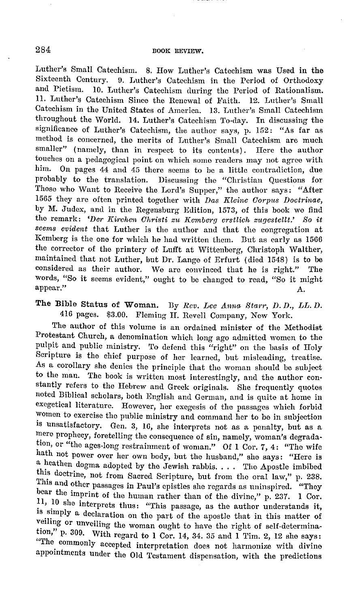Luther's Small Catechism. 8. How Luther's Catechism was Used in the Sixteenth Century. 9. Luther's Catechism in the Period of Orthodoxy and Pietism. 10. Luther's Catechism duriug the Period of Rationalism. 11. Luther's Catechism Since the Renewal of Faith. 12. Luther's Small Catechism in the United States of America. 13. Luther's Small Catechism throughout the World. 14. Luther's Catechism To-day. In discussing the significance of Luther's Catechism, the author says, p. 152: "As far as method is concerned, the merits of Luther's Small Catechism are much smaller" (namely, than in respect to its contents). Here the author touches on a pedagogical point on which some readers may not agree with him. On pages 44 and 45 there seems to be a little contradiction, due probably to the translation. Discussing the "Christian Questions for Those who Want to Receive the Lord's Supper," the author says: "After 1565 they are often printed together with *Das Kleine Corpus Doctrinae*, by M. Judcx, and in the Regensburg Edition, 1573, of this book we find the remark: 'Der Kirchen Christi zu Kemberg erstlich zugestellt.' So it *seems evident* that Luther is the author and that the congregation at Kemberg is the one for which he had written them. But as early as 1566 the corrector of the printery of. Lufft at Wittenberg, Christoph Walther, maintained that not Luther, but Dr. Lange of Erfurt ( died 1548) is to be considered as their author. We arc convinced that he is right.'' The words, "So it seems evident," ought to be changed to read, "So it might appear." appear.'' A.

# The Bible Status of Woman. By *Rev. Lee Anna Starr, D. D., LL. D.* 416 pages. \$3.00. Fleming II. Revell Company, New York.

The author of this volume is an ordained minister of the Methodist Protestant Church, a denomination which long ago admitted women to the pulpit and public ministry. To defend this "right" on the basis of Holy Scripture is tho chief purpose of her learned, but misleading, treatise. As a corollary she denies the principle that the woman should be subject to the man. The book is written most interestingly, and the author constantly refers to the Hebrew and Greek originals. She frequently quotes noted Biblical scholars, both English and German, and is quite at home in exegetical literature. However, her exegesis of the passages which forbid women to exercise the public ministry and command her to be in subjection is unsatisfactory. Gen. 3, 16, she interprets not as a penalty, but as a mere prophecy, foretelling the consequence of sin, namely, woman's degradation, or "the ages-long restrainment of woman." Of I Cor. 7, 4: "The wife hath not power over her own body, but the husband," she says: "Here is a heathen dogma adopted by the Jewish rabbis. . . . The Apostle imbibed this doctrine, not from Sacred Scripture, but from the oral law," p. 238. This and other passages in Paul's epistles she regards as uninspired. "They bear the imprint of the human rather than of the divine," p. 237. 1 Cor.<br>11, 10 she interprets thus: "This passage, as the author understands it, is simply a declaration on the part of the apostle that in this matter of veiling or unveiling the woman ought to have the right of self-determination," p. 309. With regard to 1 Cor. 14, 34. 35 and 1 Tim. 2, 12 she says: "The commonly accepted interpretation does not harmonize with divine appointments under the Old Testament dispensation, with the predictions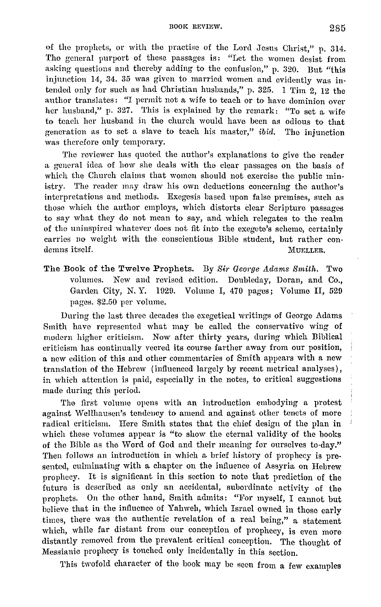BOOK REVIEW. 285

of the prophets, or with the practise of the Lord Jesus Christ," p. 314. Tho general purport of these passages is: "Let the women desist from asking questions and thereby adding to the confusion," p. 320. But "this injunction 14, 34. 35 was given to married women and evidently was intended only for such as had Christian husbands," p. 325. 1 Tim 2, 12 the author translates: "I permit not a wife to teach or to have dominion over her husband," p. 327. This is explained by the remark: "To set a wife to teach her husband in the church would have been as odious to that generation as to set a slave to teach his master," *ibid*. The injunction was therefore only temporary.

The reviewer has quoted the author's explanations to give the reader a general idea of how she deals with the clear passages on the basis of which the Church claims that women should not exercise the public ministry. The reader may draw his own deductions concerning the author's interpretations aml methods. Exegesis based upon false premises, such as those which the author employs, which distorts clear Scripture passages to say what they do not mean to say, and which relegates to the realm of the uninspired whatever does not fit into the exegete's scheme, certainly carries no weight with the conscientious Bible student, but rather condemns itself. MUELLER.

The Book of the Twelve Prophets. By Sir George Adams Smith. Two volumes. New and revised edition. Doubleday, Doran, and Co., Garden City, N. Y. 1020. Volume I, 470 pages; Volume II, 520 pages. \$2.50 per Yolume.

During the last three decades the exegetical writings of George Adams Smith have represented what may be called the conservative wing of modern higher criticism. Now after thirty years, during which Biblical criticism has continually veered its course farther away from our position, a new edition of this and other commentaries of Smith appears with a new translation of the Hebrew ( influenced largely by recent metrical analyses), in which attention is paid, especially in the notes, to critical suggestions made during this period.

The first volume opens with an introduction embodying a protest against Wellhausen's tendency to amend and against other tenets of more radical criticism. Here Smith states that the chief design of the plan in which these volumes appear is "to show the eternal validity of the books of the Bible as the vVord of God and their meaning for ourselves to-day." Then follows an introduction in which a brief history of prophecy is presented, culminating with a chapter on the influence of Assyria on Hebrew prophecy. It is significant in this section to note that prediction of the future is described as only an accidental, subordinate activity of the prophets. On the other hand, Smith admits: "For myself, I cannot but believe that in the influence of Yahweh, which Israel owned in those early times, there was the authentic revelation of a real being," a statement which, while far distant from our conception of prophecy, is even more distantly removed from the prevalent critical conception. The thought of Messianic prophecy is touched only incidentally in this section.

This twofold character of the book may be seen from a few examples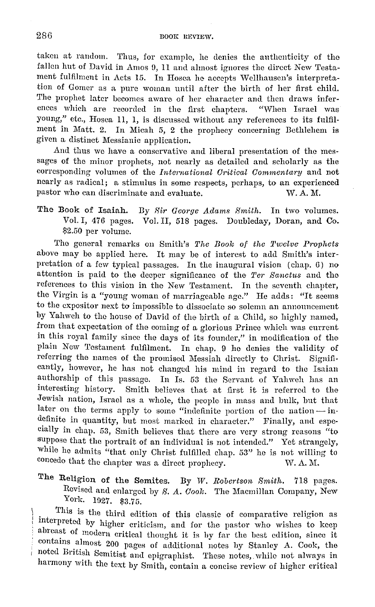takeu at random. Thus, for example, he denies the authenticity of the fallen hut of David in Amos 9, 11 and almost ignores the direct New Testament fulfilment in Acts 15. In Hosea he accepts Wellhausen's interpretation of Gomer as a pure woman until after the birth of her first ehil<l. The prophet later becomes aware of her character aml then draws inferences which are recorded in the first chapters. "When Israel was young," etc., Hosea 11, 1, is discussed without any references to its fulfilment in Matt. 2. In Micah 5, 2 the prophecy concerning Bethlehem is given a. distinct Messianic application.

And thus we have a conservative and liberal presentation of the messages of the minor prophets, not nearly as detailed and scholarly as the corresponding volumes of the *International Critical Commentary* and not nearly as radical; a stimulus in some respects, perhaps, to an experienced pastor who can discriminate and evaluate. W.A.M.

The Book of Isaiah. By *Sir George Adams Smith*. In two volumes. Vol. I, 476 pages. Vol. II, 518 pages. Doubleday, Doran, and Co-\$2.50 per volume.

Tho general remarks on Smith's The Book of the Twelve Prophets above may be applied here. It may be of interest to add Smith's interpretation of a few typical passages. In the inaugural vision ( chap. 6) no attention is paid to tho deeper significance of tho *Ter Banctus* and the references to this vision in the New Testament. In the seventh chapter, the Virgin is a "young woman of marriageable age." He adds: "It seems to the expositor next to impossible to dissociate so solemn an announcement by Yahweh to the house of David of the birth of a Child, so highly named, from that expectation of the coming of a glorious Prince which was current in this royal family since the days of its founder," in modification of the plain Now Testament fulfilment. In chap. 9 ho denies the validity of referring tho names of the promised Messiah directly to Christ. Significantly, however, he has not changed his mind in regard to the Isaian authorship of this passage. In Is. 53 the Servant of Yahweh has an interesting history. Smith believes that at first it is referred to the Jewish nation, Israel as a whole, the people in mass and bulk, but that later on the terms apply to some "indefinite portion of the nation --- indefinite in quantity, but most marked in character." Finally, and especially in chap. 53, Smith believes that there are very strong reasons "to suppose that the portrait of an individual is not intended." Yet strangely, while he admits "that only Christ fulfilled chap. 53" he is not willing to concede that the chapter was a direct prophecy.  $W. A. M.$ 

The Religion of the Semites. By W. Robertson Smith. 718 pages. Revised and enlarged by *8. A. Cook.* The Macmillan Company, New York. 1927. \$3.75.

. This is the third edition of this classic of comparative religion as interpreted by higher criticism, and for the pastor who wishes to keep abreast of modern critical thought it is by far the best edition, since it contams almost 200 pages of additional notes by Stanley A. Cook, the noted British Semitist and cpigraphist. These notes,. while not always in harmony with the text by Smith, contain a concise review of higher critical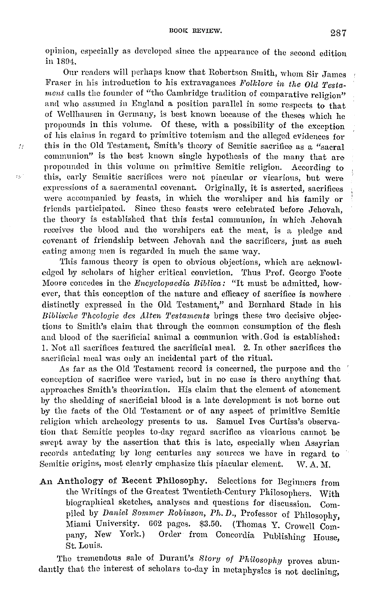opinion, especially as developed since the appearance of the second edition in 1804.

Our readers will perhaps know that Robertson Smith, whom Sir James Fraser in his introduction to his extravagances Folklore in the Old Testament calls the founder of "the Cambridge tradition of comparative religion" aml who assumed in England a position parallel in some respects to that of vVcllhauscn in Germany, is best known because of the theses which he propounds in this volume. Of these, with a possibility of the exception of his claims in regard to primitive totemism and the alleged evidences for this in the Old Testament, Smith's theory of Semitic sacrifice as a "sacral communion" is tho best known single hypothesis of the many that are propounded in this volume on primitive Semitic religion. According to this, early Semitic sacrifices were not piacular or vicarious, but were expressions of a sacramental covenant. Originally, it is asserted, sacrifices were accompanied by feasts, in which the worshiper and his family or friends participated. Since these feasts were celebrated before Jehovah, the theory is established that this festal communion, in which Jehovah receives the blood and the worshipers eat the meat, is a pledge and covenant of friendship between Jehovah and the sacrificers, just as such eating among men is regarded in much the same way.

 $\overline{D}$ 

 $\mathbf{z}_\mathrm{A}$  .

This famous theory is open to obvious objections, which are acknowledged by scholars of higher critical conviction. Thus Prof. George Foote Moore concedes in the *Encyclopaedia Biblica:* "It must be admitted, how· ever, that this conception of the nature and efficacy of sacrifice is nowhere distinctly expressed in the Old Testament," and Bernhard Stade in his *Biblische Theologie des Alten Testaments* brings these two decisive objections to Smith's claim that through the common consumption of the flesh and blood of the sacrificial animal a communion with.God is established: 1. Not all sacrifices featured the sacrificial meal. 2. In other sacrifices the sacrificial meal was only an incidental part of the ritual.

As far as the Old Testament record is concerned, the purpose and the conception of sacrifice were varied, but in no case is there anything that approaches Smith's theorization. His claim that the element of atonement by the shedding of sacrificial blood is a late development is not borne out by the facts of the Old Testament or of any aspect of primitive Semitic religion which archeology presents to us. Samuel Ives Curtiss's observation that Semitic peoples to-day regard sacrifice as vicarious cannot he swept away by the assertion that this is late, especially when Assyrian records antedating by long centuries any sources we have in regard to Semitic origins, most clearly emphasize this piacular element. W. A. M.

An Anthology of Recent Philosophy. Selections for Beginners from the Writings of the Greatest Twentieth-Century Philosophers. With biographical sketches, analyses and questions for discussion. Compiled by *Daniel Somrncr Robinson, Ph.D.,* Professor of Philosophy, Miami University. 662 pages. \$3.50. (Thomas Y. Crowell Company, New York.) Order from Concordia Publishing Honse, St. Louis.

The tremendous sale of Durant's *Story of Philosophy* proves abundantly that the interest of scholars to-day in metaphysics is not declining,